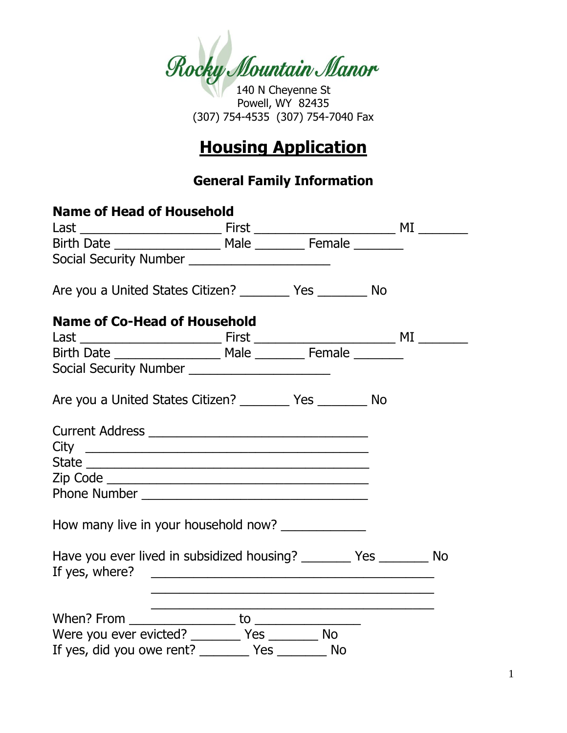

Powell, WY 82435 (307) 754-4535 (307) 754-7040 Fax

# **Housing Application**

## **General Family Information**

| <b>Name of Head of Household</b>                                       |                                                                                                                        |  |
|------------------------------------------------------------------------|------------------------------------------------------------------------------------------------------------------------|--|
|                                                                        |                                                                                                                        |  |
|                                                                        |                                                                                                                        |  |
| Social Security Number _______________________                         |                                                                                                                        |  |
| Are you a United States Citizen? ___________ Yes ___________ No        |                                                                                                                        |  |
| <b>Name of Co-Head of Household</b>                                    |                                                                                                                        |  |
|                                                                        |                                                                                                                        |  |
|                                                                        |                                                                                                                        |  |
| Social Security Number ________________________                        |                                                                                                                        |  |
| Are you a United States Citizen? __________ Yes __________ No          |                                                                                                                        |  |
|                                                                        |                                                                                                                        |  |
|                                                                        |                                                                                                                        |  |
|                                                                        |                                                                                                                        |  |
|                                                                        |                                                                                                                        |  |
|                                                                        |                                                                                                                        |  |
| How many live in your household now?                                   |                                                                                                                        |  |
| Have you ever lived in subsidized housing? __________ Yes _________ No |                                                                                                                        |  |
|                                                                        | and the control of the control of the control of the control of the control of the control of the control of the       |  |
|                                                                        | <u> 1989 - Johann John Stein, marwolaeth a bhann an t-Amhain an t-Amhain an t-Amhain an t-Amhain an t-Amhain an t-</u> |  |
| Were you ever evicted? ________ Yes _______ No                         |                                                                                                                        |  |
| If yes, did you owe rent? ___________ Yes ___________ No               |                                                                                                                        |  |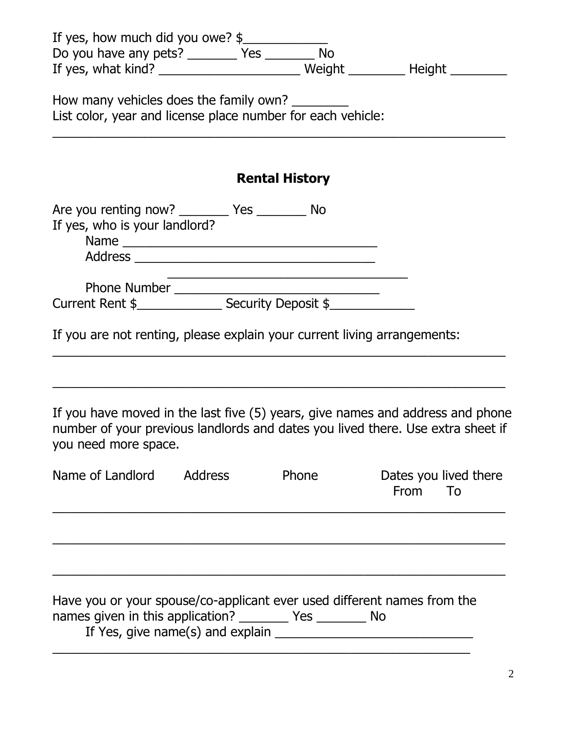| If yes, how much did you owe? $\frac{1}{2}$<br>Do you have any pets? _________ Yes _________ No<br>If yes, what kind? _____________________________Weight _________________________       |                                  |
|-------------------------------------------------------------------------------------------------------------------------------------------------------------------------------------------|----------------------------------|
| How many vehicles does the family own?<br>List color, year and license place number for each vehicle:                                                                                     |                                  |
| <b>Rental History</b>                                                                                                                                                                     |                                  |
| Are you renting now? _________ Yes ________ No<br>If yes, who is your landlord?                                                                                                           |                                  |
|                                                                                                                                                                                           |                                  |
| If you are not renting, please explain your current living arrangements:                                                                                                                  |                                  |
| If you have moved in the last five (5) years, give names and address and phone<br>number of your previous landlords and dates you lived there. Use extra sheet if<br>you need more space. |                                  |
| Name of Landlord<br><b>Address</b><br>Phone                                                                                                                                               | Dates you lived there<br>From To |
|                                                                                                                                                                                           |                                  |
| Have you or your spouse/co-applicant ever used different names from the<br>names given in this application? __________ Yes _________ No                                                   |                                  |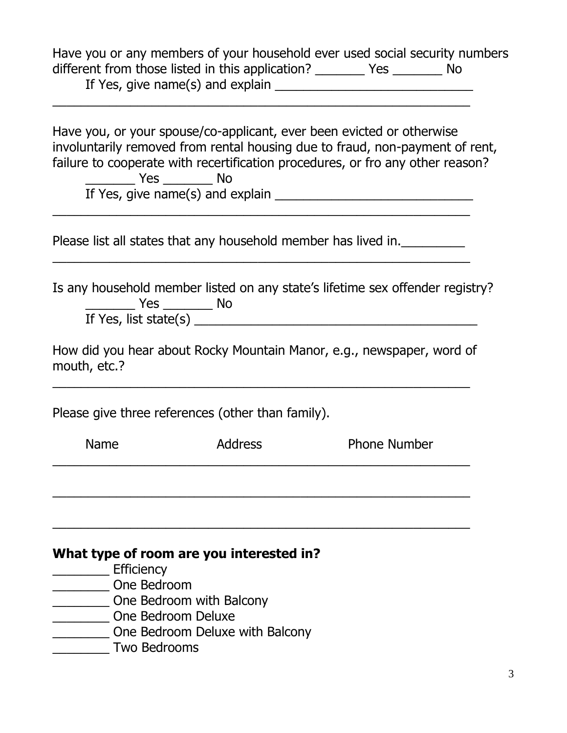Have you or any members of your household ever used social security numbers different from those listed in this application? \_\_\_\_\_\_\_\_ Yes \_\_\_\_\_\_\_\_ No If Yes, give name(s) and explain \_\_\_\_\_\_\_\_\_\_\_\_\_\_\_\_\_\_\_\_\_\_\_\_\_\_\_\_

 $\overline{\phantom{a}}$  , and the contribution of the contribution of the contribution of the contribution of the contribution of the contribution of the contribution of the contribution of the contribution of the contribution of the

 $\overline{\phantom{a}}$  , and the contribution of the contribution of the contribution of the contribution of the contribution of the contribution of the contribution of the contribution of the contribution of the contribution of the

 $\overline{\phantom{a}}$  , and the contribution of the contribution of the contribution of the contribution of the contribution of the contribution of the contribution of the contribution of the contribution of the contribution of the

Have you, or your spouse/co-applicant, ever been evicted or otherwise involuntarily removed from rental housing due to fraud, non-payment of rent, failure to cooperate with recertification procedures, or fro any other reason? \_\_\_\_\_\_\_ Yes \_\_\_\_\_\_\_ No If Yes, give name(s) and explain \_\_\_\_\_\_\_\_\_\_\_\_\_\_\_\_\_\_\_\_\_\_\_\_\_\_\_\_

Please list all states that any household member has lived in.

Is any household member listed on any state's lifetime sex offender registry? \_\_\_\_\_\_\_ Yes \_\_\_\_\_\_\_ No If Yes, list state(s)  $\overline{\phantom{a}}$ 

How did you hear about Rocky Mountain Manor, e.g., newspaper, word of mouth, etc.?

 $\overline{\phantom{a}}$  , and the contribution of the contribution of the contribution of the contribution of the contribution of the contribution of the contribution of the contribution of the contribution of the contribution of the

Please give three references (other than family).

| Name                | <b>Address</b>                           | <b>Phone Number</b> |
|---------------------|------------------------------------------|---------------------|
|                     |                                          |                     |
|                     |                                          |                     |
|                     |                                          |                     |
|                     | What type of room are you interested in? |                     |
| Efficiency          |                                          |                     |
| One Bedroom         |                                          |                     |
|                     | One Bedroom with Balcony                 |                     |
|                     | One Bedroom Deluxe                       |                     |
| <b>Two Bedrooms</b> | One Bedroom Deluxe with Balcony          |                     |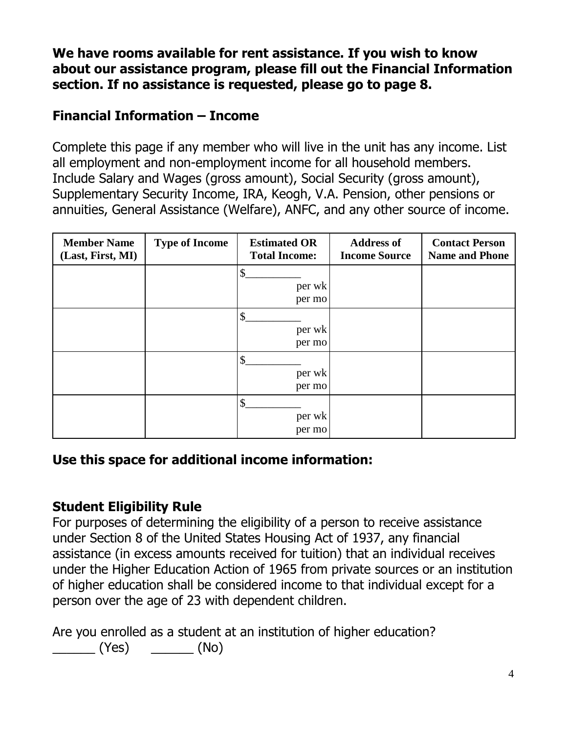**We have rooms available for rent assistance. If you wish to know about our assistance program, please fill out the Financial Information section. If no assistance is requested, please go to page 8.**

#### **Financial Information – Income**

Complete this page if any member who will live in the unit has any income. List all employment and non-employment income for all household members. Include Salary and Wages (gross amount), Social Security (gross amount), Supplementary Security Income, IRA, Keogh, V.A. Pension, other pensions or annuities, General Assistance (Welfare), ANFC, and any other source of income.

| <b>Member Name</b><br>(Last, First, MI) | <b>Type of Income</b> | <b>Estimated OR</b><br><b>Total Income:</b>   | <b>Address of</b><br><b>Income Source</b> | <b>Contact Person</b><br><b>Name and Phone</b> |
|-----------------------------------------|-----------------------|-----------------------------------------------|-------------------------------------------|------------------------------------------------|
|                                         |                       | \$<br>per wk<br>per mo                        |                                           |                                                |
|                                         |                       | $\boldsymbol{\mathsf{S}}$<br>per wk<br>per mo |                                           |                                                |
|                                         |                       | \$<br>per wk<br>per mo                        |                                           |                                                |
|                                         |                       | \$<br>per wk<br>per mo                        |                                           |                                                |

#### **Use this space for additional income information:**

#### **Student Eligibility Rule**

For purposes of determining the eligibility of a person to receive assistance under Section 8 of the United States Housing Act of 1937, any financial assistance (in excess amounts received for tuition) that an individual receives under the Higher Education Action of 1965 from private sources or an institution of higher education shall be considered income to that individual except for a person over the age of 23 with dependent children.

Are you enrolled as a student at an institution of higher education?

 $(Yes)$   $\qquad \qquad (No)$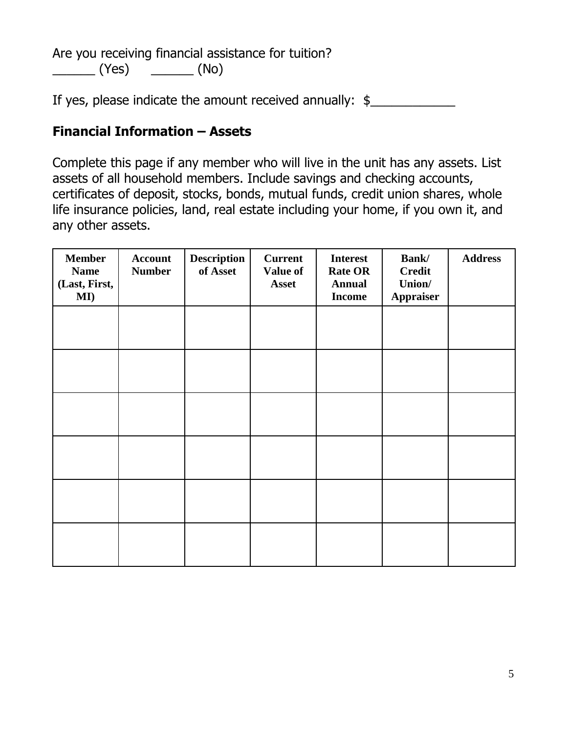Are you receiving financial assistance for tuition?  $\sqrt{(Yes)}$   $\sqrt{(No)}$ 

If yes, please indicate the amount received annually:  $\frac{1}{2}$ 

#### **Financial Information – Assets**

Complete this page if any member who will live in the unit has any assets. List assets of all household members. Include savings and checking accounts, certificates of deposit, stocks, bonds, mutual funds, credit union shares, whole life insurance policies, land, real estate including your home, if you own it, and any other assets.

| <b>Member</b><br><b>Name</b><br>(Last, First,<br>MI) | <b>Account</b><br><b>Number</b> | <b>Description</b><br>of Asset | <b>Current</b><br>Value of<br><b>Asset</b> | <b>Interest</b><br><b>Rate OR</b><br><b>Annual</b><br><b>Income</b> | <b>Bank</b> /<br><b>Credit</b><br>Union/<br><b>Appraiser</b> | <b>Address</b> |
|------------------------------------------------------|---------------------------------|--------------------------------|--------------------------------------------|---------------------------------------------------------------------|--------------------------------------------------------------|----------------|
|                                                      |                                 |                                |                                            |                                                                     |                                                              |                |
|                                                      |                                 |                                |                                            |                                                                     |                                                              |                |
|                                                      |                                 |                                |                                            |                                                                     |                                                              |                |
|                                                      |                                 |                                |                                            |                                                                     |                                                              |                |
|                                                      |                                 |                                |                                            |                                                                     |                                                              |                |
|                                                      |                                 |                                |                                            |                                                                     |                                                              |                |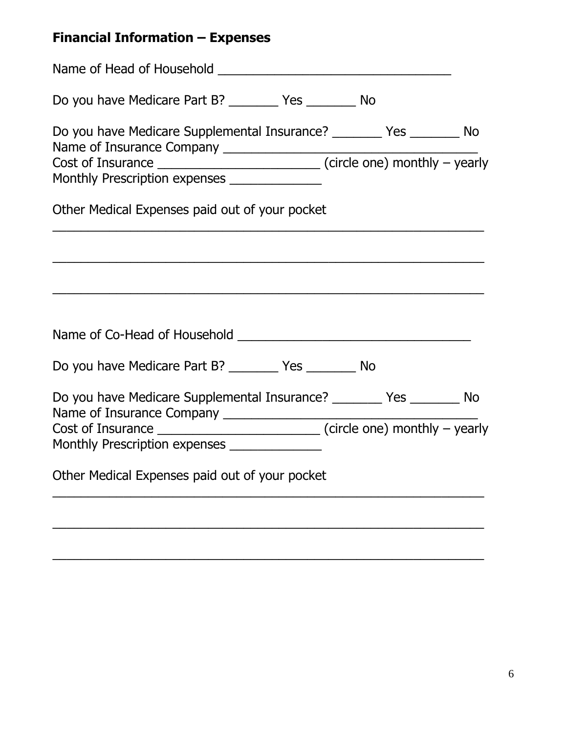# **Financial Information – Expenses**

| Do you have Medicare Part B? ___________ Yes ___________ No                                                               |  |
|---------------------------------------------------------------------------------------------------------------------------|--|
| Do you have Medicare Supplemental Insurance? __________ Yes _________ No<br>Monthly Prescription expenses _______________ |  |
| Other Medical Expenses paid out of your pocket                                                                            |  |
|                                                                                                                           |  |
|                                                                                                                           |  |
| Do you have Medicare Part B? __________ Yes _________ No                                                                  |  |
| Do you have Medicare Supplemental Insurance? _________ Yes ________ No<br>Monthly Prescription expenses _______________   |  |
| Other Medical Expenses paid out of your pocket                                                                            |  |
|                                                                                                                           |  |

\_\_\_\_\_\_\_\_\_\_\_\_\_\_\_\_\_\_\_\_\_\_\_\_\_\_\_\_\_\_\_\_\_\_\_\_\_\_\_\_\_\_\_\_\_\_\_\_\_\_\_\_\_\_\_\_\_\_\_\_\_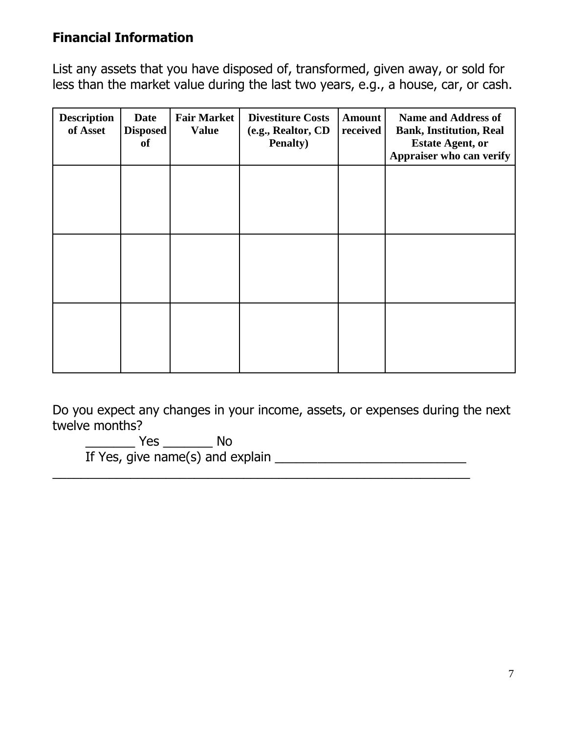#### **Financial Information**

List any assets that you have disposed of, transformed, given away, or sold for less than the market value during the last two years, e.g., a house, car, or cash.

| <b>Description</b><br>of Asset | <b>Date</b><br>Disposed<br><b>of</b> | <b>Fair Market</b><br><b>Value</b> | <b>Divestiture Costs</b><br>(e.g., Realtor, CD<br><b>Penalty</b> ) | <b>Amount</b><br>received | <b>Name and Address of</b><br><b>Bank, Institution, Real</b><br><b>Estate Agent, or</b><br>Appraiser who can verify |
|--------------------------------|--------------------------------------|------------------------------------|--------------------------------------------------------------------|---------------------------|---------------------------------------------------------------------------------------------------------------------|
|                                |                                      |                                    |                                                                    |                           |                                                                                                                     |
|                                |                                      |                                    |                                                                    |                           |                                                                                                                     |
|                                |                                      |                                    |                                                                    |                           |                                                                                                                     |

Do you expect any changes in your income, assets, or expenses during the next twelve months?

 $\overline{\phantom{a}}$  , and the contribution of the contribution of the contribution of the contribution of the contribution of the contribution of the contribution of the contribution of the contribution of the contribution of the

\_\_\_\_\_\_\_ Yes \_\_\_\_\_\_\_ No

If Yes, give name(s) and explain \_\_\_\_\_\_\_\_\_\_\_\_\_\_\_\_\_\_\_\_\_\_\_\_\_\_\_